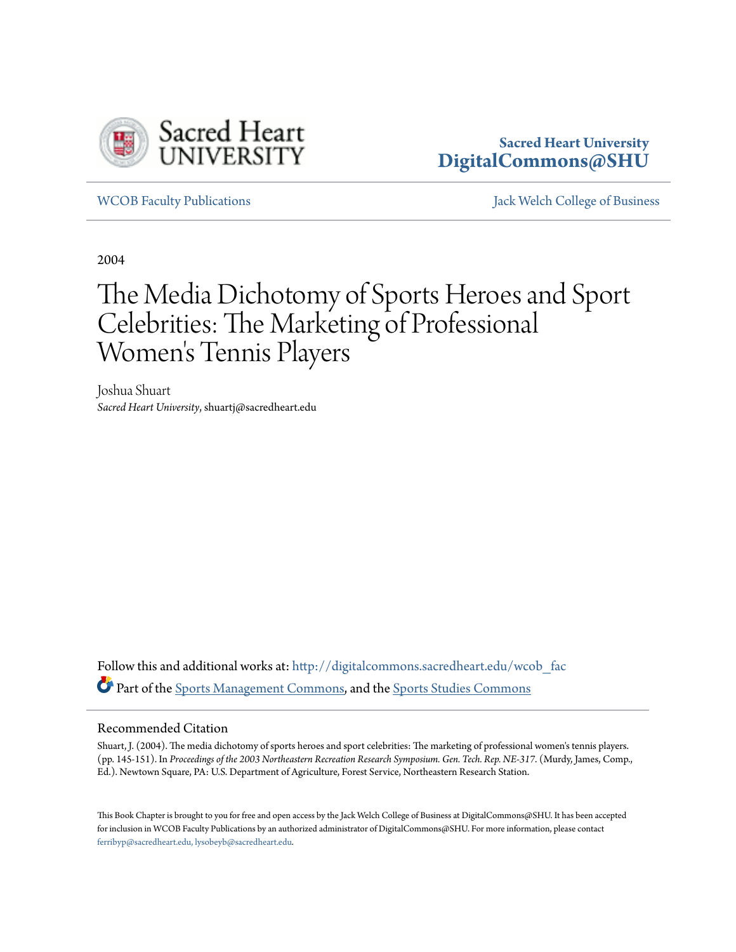

## **Sacred Heart University [DigitalCommons@SHU](http://digitalcommons.sacredheart.edu?utm_source=digitalcommons.sacredheart.edu%2Fwcob_fac%2F484&utm_medium=PDF&utm_campaign=PDFCoverPages)**

[WCOB Faculty Publications](http://digitalcommons.sacredheart.edu/wcob_fac?utm_source=digitalcommons.sacredheart.edu%2Fwcob_fac%2F484&utm_medium=PDF&utm_campaign=PDFCoverPages) [Jack Welch College of Business](http://digitalcommons.sacredheart.edu/wcob?utm_source=digitalcommons.sacredheart.edu%2Fwcob_fac%2F484&utm_medium=PDF&utm_campaign=PDFCoverPages)

2004

# The Media Dichotomy of Sports Heroes and Sport Celebrities: The Marketing of Professional Women 's Tennis Players

Joshua Shuart *Sacred Heart University*, shuartj@sacredheart.edu

Follow this and additional works at: [http://digitalcommons.sacredheart.edu/wcob\\_fac](http://digitalcommons.sacredheart.edu/wcob_fac?utm_source=digitalcommons.sacredheart.edu%2Fwcob_fac%2F484&utm_medium=PDF&utm_campaign=PDFCoverPages) Part of the [Sports Management Commons,](http://network.bepress.com/hgg/discipline/1193?utm_source=digitalcommons.sacredheart.edu%2Fwcob_fac%2F484&utm_medium=PDF&utm_campaign=PDFCoverPages) and the [Sports Studies Commons](http://network.bepress.com/hgg/discipline/1198?utm_source=digitalcommons.sacredheart.edu%2Fwcob_fac%2F484&utm_medium=PDF&utm_campaign=PDFCoverPages)

#### Recommended Citation

Shuart, J. (2004). The media dichotomy of sports heroes and sport celebrities: The marketing of professional women's tennis players. (pp. 145-151). In *Proceedings of the 2003 Northeastern Recreation Research Symposium. Gen. Tech. Rep. NE-317*. (Murdy, James, Comp., Ed.). Newtown Square, PA: U.S. Department of Agriculture, Forest Service, Northeastern Research Station.

This Book Chapter is brought to you for free and open access by the Jack Welch College of Business at DigitalCommons@SHU. It has been accepted for inclusion in WCOB Faculty Publications by an authorized administrator of DigitalCommons@SHU. For more information, please contact [ferribyp@sacredheart.edu, lysobeyb@sacredheart.edu.](mailto:ferribyp@sacredheart.edu,%20lysobeyb@sacredheart.edu)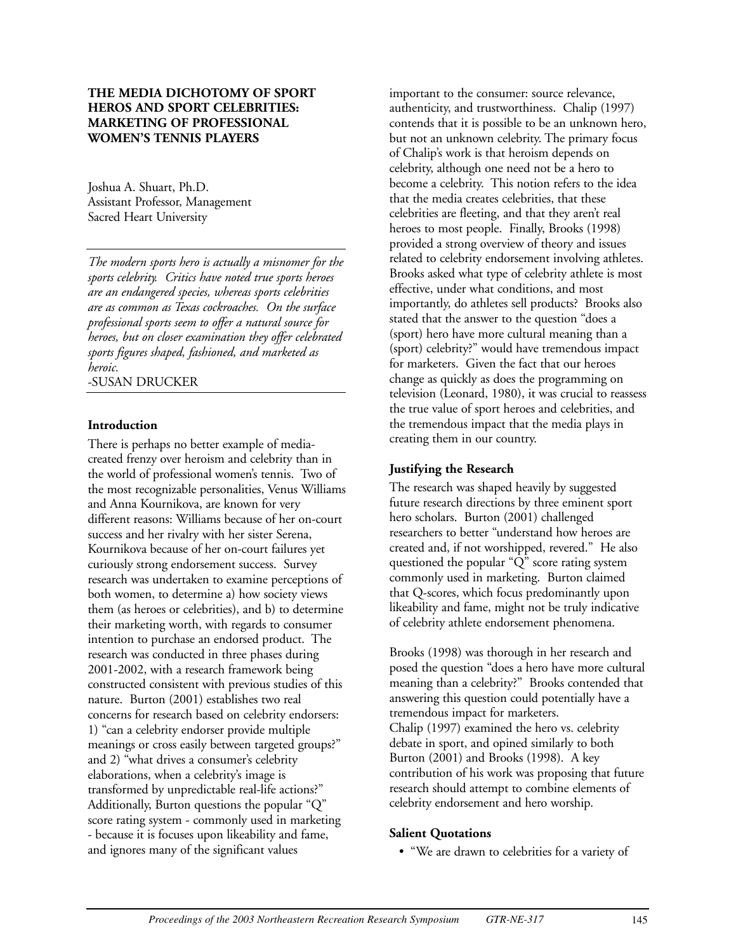#### **THE MEDIA DICHOTOMY OF SPORT HEROS AND SPORT CELEBRITIES: MARKETING OF PROFESSIONAL WOMEN'S TENNIS PLAYERS**

Joshua A. Shuart, Ph.D. Assistant Professor, Management Sacred Heart University

*The modern sports hero is actually a misnomer for the sports celebrity. Critics have noted true sports heroes are an endangered species, whereas sports celebrities are as common as Texas cockroaches. On the surface professional sports seem to offer a natural source for heroes, but on closer examination they offer celebrated sports figures shaped, fashioned, and marketed as heroic.* -SUSAN DRUCKER

## **Introduction**

There is perhaps no better example of mediacreated frenzy over heroism and celebrity than in the world of professional women's tennis. Two of the most recognizable personalities, Venus Williams and Anna Kournikova, are known for very different reasons: Williams because of her on-court success and her rivalry with her sister Serena, Kournikova because of her on-court failures yet curiously strong endorsement success. Survey research was undertaken to examine perceptions of both women, to determine a) how society views them (as heroes or celebrities), and b) to determine their marketing worth, with regards to consumer intention to purchase an endorsed product. The research was conducted in three phases during 2001-2002, with a research framework being constructed consistent with previous studies of this nature. Burton (2001) establishes two real concerns for research based on celebrity endorsers: 1) "can a celebrity endorser provide multiple meanings or cross easily between targeted groups?" and 2) "what drives a consumer's celebrity elaborations, when a celebrity's image is transformed by unpredictable real-life actions?" Additionally, Burton questions the popular "Q" score rating system - commonly used in marketing - because it is focuses upon likeability and fame, and ignores many of the significant values

important to the consumer: source relevance, authenticity, and trustworthiness. Chalip (1997) contends that it is possible to be an unknown hero, but not an unknown celebrity. The primary focus of Chalip's work is that heroism depends on celebrity, although one need not be a hero to become a celebrity. This notion refers to the idea that the media creates celebrities, that these celebrities are fleeting, and that they aren't real heroes to most people. Finally, Brooks (1998) provided a strong overview of theory and issues related to celebrity endorsement involving athletes. Brooks asked what type of celebrity athlete is most effective, under what conditions, and most importantly, do athletes sell products? Brooks also stated that the answer to the question "does a (sport) hero have more cultural meaning than a (sport) celebrity?" would have tremendous impact for marketers. Given the fact that our heroes change as quickly as does the programming on television (Leonard, 1980), it was crucial to reassess the true value of sport heroes and celebrities, and the tremendous impact that the media plays in creating them in our country.

#### **Justifying the Research**

The research was shaped heavily by suggested future research directions by three eminent sport hero scholars. Burton (2001) challenged researchers to better "understand how heroes are created and, if not worshipped, revered." He also questioned the popular "Q" score rating system commonly used in marketing. Burton claimed that Q-scores, which focus predominantly upon likeability and fame, might not be truly indicative of celebrity athlete endorsement phenomena.

Brooks (1998) was thorough in her research and posed the question "does a hero have more cultural meaning than a celebrity?" Brooks contended that answering this question could potentially have a tremendous impact for marketers. Chalip (1997) examined the hero vs. celebrity debate in sport, and opined similarly to both Burton (2001) and Brooks (1998). A key contribution of his work was proposing that future research should attempt to combine elements of celebrity endorsement and hero worship.

#### **Salient Quotations**

• "We are drawn to celebrities for a variety of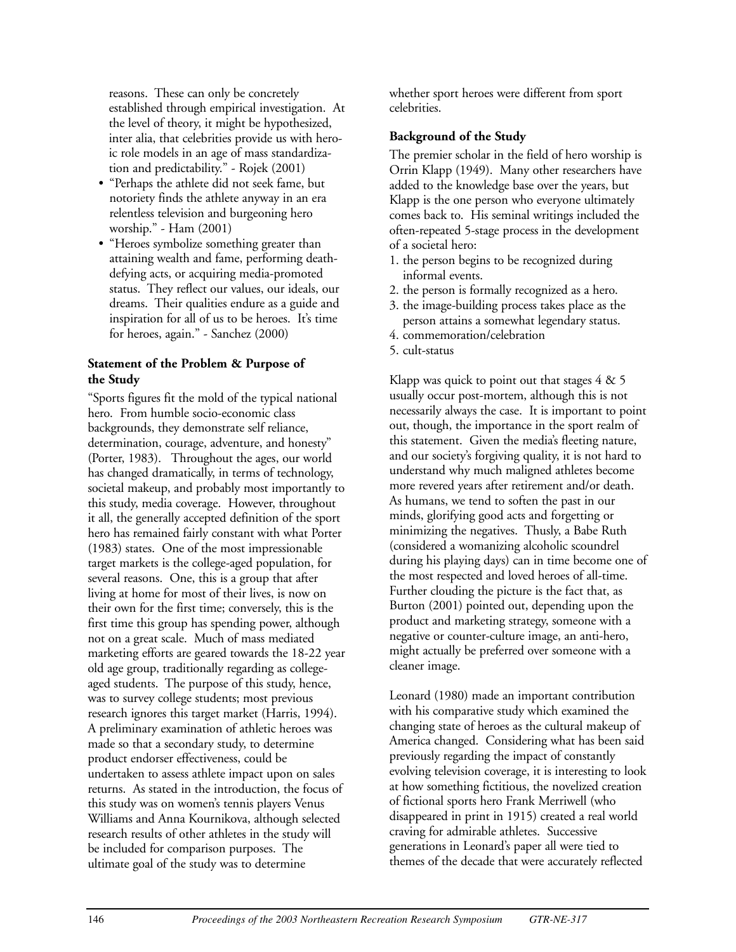reasons. These can only be concretely established through empirical investigation. At the level of theory, it might be hypothesized, inter alia, that celebrities provide us with heroic role models in an age of mass standardization and predictability." - Rojek (2001)

- "Perhaps the athlete did not seek fame, but notoriety finds the athlete anyway in an era relentless television and burgeoning hero worship." - Ham (2001)
- "Heroes symbolize something greater than attaining wealth and fame, performing deathdefying acts, or acquiring media-promoted status. They reflect our values, our ideals, our dreams. Their qualities endure as a guide and inspiration for all of us to be heroes. It's time for heroes, again." - Sanchez (2000)

#### **Statement of the Problem & Purpose of the Study**

"Sports figures fit the mold of the typical national hero. From humble socio-economic class backgrounds, they demonstrate self reliance, determination, courage, adventure, and honesty" (Porter, 1983). Throughout the ages, our world has changed dramatically, in terms of technology, societal makeup, and probably most importantly to this study, media coverage. However, throughout it all, the generally accepted definition of the sport hero has remained fairly constant with what Porter (1983) states. One of the most impressionable target markets is the college-aged population, for several reasons. One, this is a group that after living at home for most of their lives, is now on their own for the first time; conversely, this is the first time this group has spending power, although not on a great scale. Much of mass mediated marketing efforts are geared towards the 18-22 year old age group, traditionally regarding as collegeaged students. The purpose of this study, hence, was to survey college students; most previous research ignores this target market (Harris, 1994). A preliminary examination of athletic heroes was made so that a secondary study, to determine product endorser effectiveness, could be undertaken to assess athlete impact upon on sales returns. As stated in the introduction, the focus of this study was on women's tennis players Venus Williams and Anna Kournikova, although selected research results of other athletes in the study will be included for comparison purposes. The ultimate goal of the study was to determine

whether sport heroes were different from sport celebrities.

## **Background of the Study**

The premier scholar in the field of hero worship is Orrin Klapp (1949). Many other researchers have added to the knowledge base over the years, but Klapp is the one person who everyone ultimately comes back to. His seminal writings included the often-repeated 5-stage process in the development of a societal hero:

- 1. the person begins to be recognized during informal events.
- 2. the person is formally recognized as a hero.
- 3. the image-building process takes place as the person attains a somewhat legendary status.
- 4. commemoration/celebration
- 5. cult-status

Klapp was quick to point out that stages  $4 \& 5$ usually occur post-mortem, although this is not necessarily always the case. It is important to point out, though, the importance in the sport realm of this statement. Given the media's fleeting nature, and our society's forgiving quality, it is not hard to understand why much maligned athletes become more revered years after retirement and/or death. As humans, we tend to soften the past in our minds, glorifying good acts and forgetting or minimizing the negatives. Thusly, a Babe Ruth (considered a womanizing alcoholic scoundrel during his playing days) can in time become one of the most respected and loved heroes of all-time. Further clouding the picture is the fact that, as Burton (2001) pointed out, depending upon the product and marketing strategy, someone with a negative or counter-culture image, an anti-hero, might actually be preferred over someone with a cleaner image.

Leonard (1980) made an important contribution with his comparative study which examined the changing state of heroes as the cultural makeup of America changed. Considering what has been said previously regarding the impact of constantly evolving television coverage, it is interesting to look at how something fictitious, the novelized creation of fictional sports hero Frank Merriwell (who disappeared in print in 1915) created a real world craving for admirable athletes. Successive generations in Leonard's paper all were tied to themes of the decade that were accurately reflected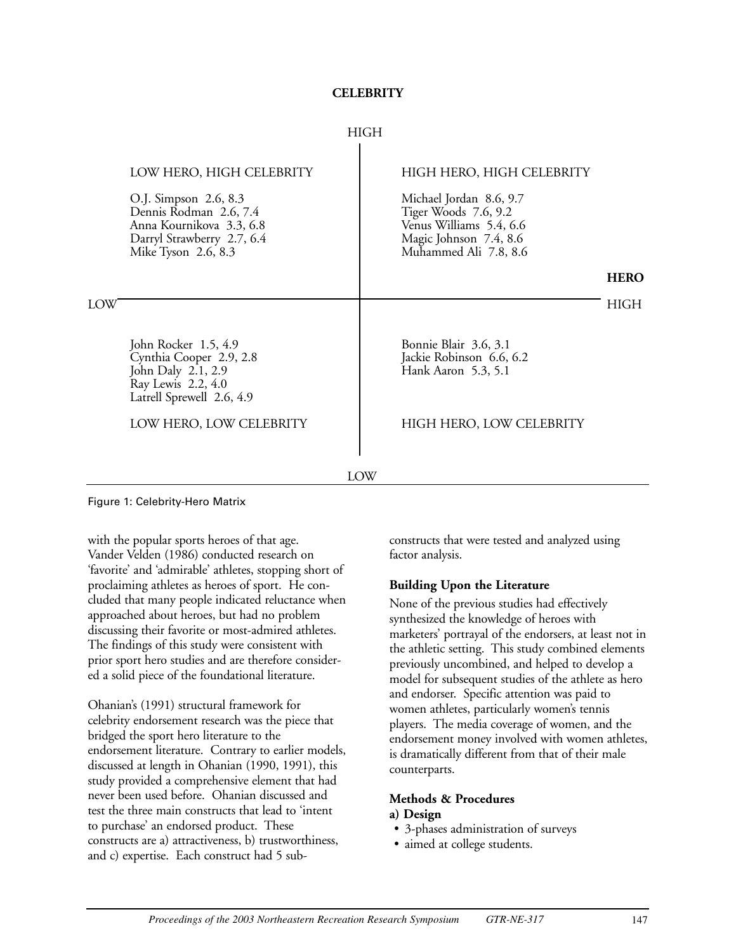#### **CELEBRITY**

#### HIGH  $\mathbf{I}$

|     | LOW HERO, HIGH CELEBRITY                                                                                                         | HIGH HERO, HIGH CELEBRITY                                                                                                     |             |
|-----|----------------------------------------------------------------------------------------------------------------------------------|-------------------------------------------------------------------------------------------------------------------------------|-------------|
|     | O.J. Simpson 2.6, 8.3<br>Dennis Rodman 2.6, 7.4<br>Anna Kournikova 3.3, 6.8<br>Darryl Strawberry 2.7, 6.4<br>Mike Tyson 2.6, 8.3 | Michael Jordan 8.6, 9.7<br>Tiger Woods 7.6, 9.2<br>Venus Williams 5.4, 6.6<br>Magic Johnson 7.4, 8.6<br>Muhammed Ali 7.8, 8.6 |             |
|     |                                                                                                                                  |                                                                                                                               | <b>HERO</b> |
| LOW |                                                                                                                                  |                                                                                                                               | HIGH        |
|     | John Rocker 1.5, 4.9<br>Cynthia Cooper 2.9, 2.8<br>John Daly 2.1, 2.9<br>Ray Lewis 2.2, 4.0<br>Latrell Sprewell 2.6, 4.9         | Bonnie Blair 3.6, 3.1<br>Jackie Robinson 6.6, 6.2<br>Hank Aaron 5.3, 5.1                                                      |             |
|     | LOW HERO, LOW CELEBRITY                                                                                                          | HIGH HERO, LOW CELEBRITY                                                                                                      |             |
|     |                                                                                                                                  |                                                                                                                               |             |
| LOW |                                                                                                                                  |                                                                                                                               |             |

Figure 1: Celebrity-Hero Matrix

with the popular sports heroes of that age. Vander Velden (1986) conducted research on 'favorite' and 'admirable' athletes, stopping short of proclaiming athletes as heroes of sport. He concluded that many people indicated reluctance when approached about heroes, but had no problem discussing their favorite or most-admired athletes. The findings of this study were consistent with prior sport hero studies and are therefore considered a solid piece of the foundational literature.

Ohanian's (1991) structural framework for celebrity endorsement research was the piece that bridged the sport hero literature to the endorsement literature. Contrary to earlier models, discussed at length in Ohanian (1990, 1991), this study provided a comprehensive element that had never been used before. Ohanian discussed and test the three main constructs that lead to 'intent to purchase' an endorsed product. These constructs are a) attractiveness, b) trustworthiness, and c) expertise. Each construct had 5 subconstructs that were tested and analyzed using factor analysis.

#### **Building Upon the Literature**

None of the previous studies had effectively synthesized the knowledge of heroes with marketers' portrayal of the endorsers, at least not in the athletic setting. This study combined elements previously uncombined, and helped to develop a model for subsequent studies of the athlete as hero and endorser. Specific attention was paid to women athletes, particularly women's tennis players. The media coverage of women, and the endorsement money involved with women athletes, is dramatically different from that of their male counterparts.

## **Methods & Procedures**

#### **a) Design**

- 3-phases administration of surveys
- aimed at college students.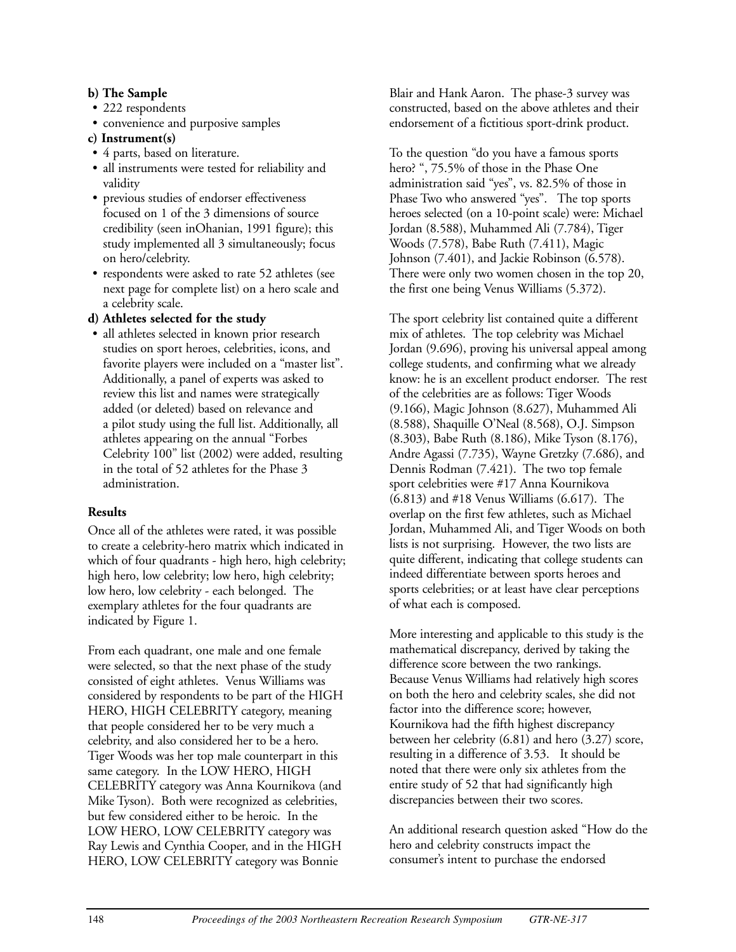### **b) The Sample**

- 222 respondents
- convenience and purposive samples

## **c) Instrument(s)**

- 4 parts, based on literature.
- all instruments were tested for reliability and validity
- previous studies of endorser effectiveness focused on 1 of the 3 dimensions of source credibility (seen inOhanian, 1991 figure); this study implemented all 3 simultaneously; focus on hero/celebrity.
- respondents were asked to rate 52 athletes (see next page for complete list) on a hero scale and a celebrity scale.

## **d) Athletes selected for the study**

• all athletes selected in known prior research studies on sport heroes, celebrities, icons, and favorite players were included on a "master list". Additionally, a panel of experts was asked to review this list and names were strategically added (or deleted) based on relevance and a pilot study using the full list. Additionally, all athletes appearing on the annual "Forbes Celebrity 100" list (2002) were added, resulting in the total of 52 athletes for the Phase 3 administration.

## **Results**

Once all of the athletes were rated, it was possible to create a celebrity-hero matrix which indicated in which of four quadrants - high hero, high celebrity; high hero, low celebrity; low hero, high celebrity; low hero, low celebrity - each belonged. The exemplary athletes for the four quadrants are indicated by Figure 1.

From each quadrant, one male and one female were selected, so that the next phase of the study consisted of eight athletes. Venus Williams was considered by respondents to be part of the HIGH HERO, HIGH CELEBRITY category, meaning that people considered her to be very much a celebrity, and also considered her to be a hero. Tiger Woods was her top male counterpart in this same category. In the LOW HERO, HIGH CELEBRITY category was Anna Kournikova (and Mike Tyson). Both were recognized as celebrities, but few considered either to be heroic. In the LOW HERO, LOW CELEBRITY category was Ray Lewis and Cynthia Cooper, and in the HIGH HERO, LOW CELEBRITY category was Bonnie

Blair and Hank Aaron. The phase-3 survey was constructed, based on the above athletes and their endorsement of a fictitious sport-drink product.

To the question "do you have a famous sports hero? ", 75.5% of those in the Phase One administration said "yes", vs. 82.5% of those in Phase Two who answered "yes". The top sports heroes selected (on a 10-point scale) were: Michael Jordan (8.588), Muhammed Ali (7.784), Tiger Woods (7.578), Babe Ruth (7.411), Magic Johnson (7.401), and Jackie Robinson (6.578). There were only two women chosen in the top 20, the first one being Venus Williams (5.372).

The sport celebrity list contained quite a different mix of athletes. The top celebrity was Michael Jordan (9.696), proving his universal appeal among college students, and confirming what we already know: he is an excellent product endorser. The rest of the celebrities are as follows: Tiger Woods (9.166), Magic Johnson (8.627), Muhammed Ali (8.588), Shaquille O'Neal (8.568), O.J. Simpson (8.303), Babe Ruth (8.186), Mike Tyson (8.176), Andre Agassi (7.735), Wayne Gretzky (7.686), and Dennis Rodman (7.421). The two top female sport celebrities were #17 Anna Kournikova (6.813) and #18 Venus Williams (6.617). The overlap on the first few athletes, such as Michael Jordan, Muhammed Ali, and Tiger Woods on both lists is not surprising. However, the two lists are quite different, indicating that college students can indeed differentiate between sports heroes and sports celebrities; or at least have clear perceptions of what each is composed.

More interesting and applicable to this study is the mathematical discrepancy, derived by taking the difference score between the two rankings. Because Venus Williams had relatively high scores on both the hero and celebrity scales, she did not factor into the difference score; however, Kournikova had the fifth highest discrepancy between her celebrity (6.81) and hero (3.27) score, resulting in a difference of 3.53. It should be noted that there were only six athletes from the entire study of 52 that had significantly high discrepancies between their two scores.

An additional research question asked "How do the hero and celebrity constructs impact the consumer's intent to purchase the endorsed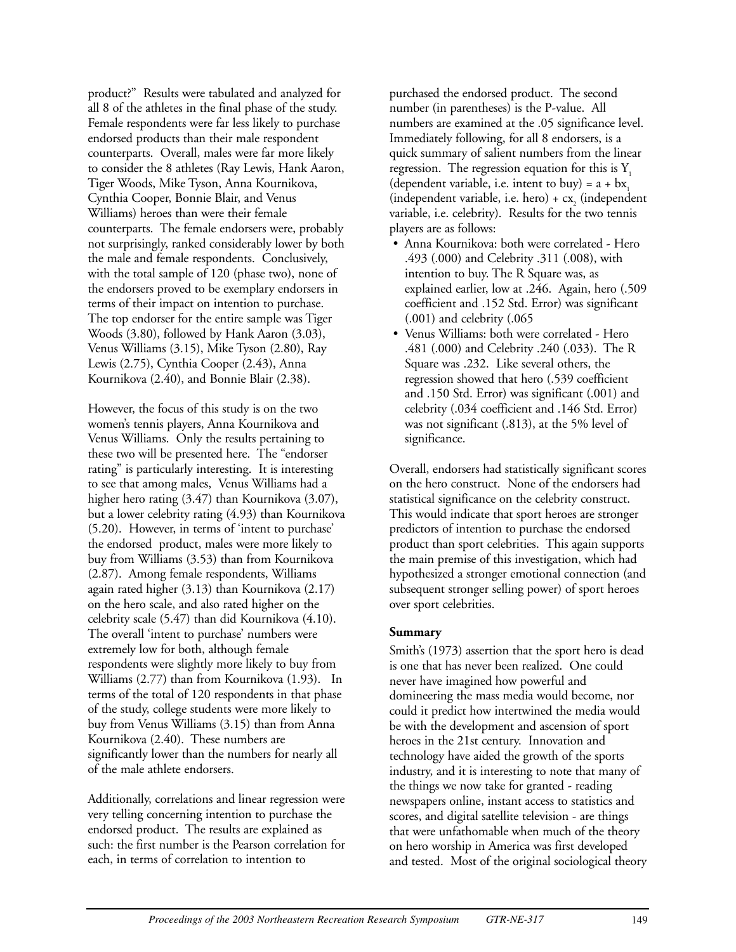product?" Results were tabulated and analyzed for all 8 of the athletes in the final phase of the study. Female respondents were far less likely to purchase endorsed products than their male respondent counterparts. Overall, males were far more likely to consider the 8 athletes (Ray Lewis, Hank Aaron, Tiger Woods, Mike Tyson, Anna Kournikova, Cynthia Cooper, Bonnie Blair, and Venus Williams) heroes than were their female counterparts. The female endorsers were, probably not surprisingly, ranked considerably lower by both the male and female respondents. Conclusively, with the total sample of 120 (phase two), none of the endorsers proved to be exemplary endorsers in terms of their impact on intention to purchase. The top endorser for the entire sample was Tiger Woods (3.80), followed by Hank Aaron (3.03), Venus Williams (3.15), Mike Tyson (2.80), Ray Lewis (2.75), Cynthia Cooper (2.43), Anna Kournikova (2.40), and Bonnie Blair (2.38).

However, the focus of this study is on the two women's tennis players, Anna Kournikova and Venus Williams. Only the results pertaining to these two will be presented here. The "endorser rating" is particularly interesting. It is interesting to see that among males, Venus Williams had a higher hero rating (3.47) than Kournikova (3.07), but a lower celebrity rating (4.93) than Kournikova (5.20). However, in terms of 'intent to purchase' the endorsed product, males were more likely to buy from Williams (3.53) than from Kournikova (2.87). Among female respondents, Williams again rated higher (3.13) than Kournikova (2.17) on the hero scale, and also rated higher on the celebrity scale (5.47) than did Kournikova (4.10). The overall 'intent to purchase' numbers were extremely low for both, although female respondents were slightly more likely to buy from Williams (2.77) than from Kournikova (1.93). In terms of the total of 120 respondents in that phase of the study, college students were more likely to buy from Venus Williams (3.15) than from Anna Kournikova (2.40). These numbers are significantly lower than the numbers for nearly all of the male athlete endorsers.

Additionally, correlations and linear regression were very telling concerning intention to purchase the endorsed product. The results are explained as such: the first number is the Pearson correlation for each, in terms of correlation to intention to

purchased the endorsed product. The second number (in parentheses) is the P-value. All numbers are examined at the .05 significance level. Immediately following, for all 8 endorsers, is a quick summary of salient numbers from the linear regression. The regression equation for this is  $Y_1$ (dependent variable, i.e. intent to buy) =  $a + bx_1$ (independent variable, i.e. hero)  $+ c<sub>x</sub>$  (independent variable, i.e. celebrity). Results for the two tennis players are as follows:

- Anna Kournikova: both were correlated Hero .493 (.000) and Celebrity .311 (.008), with intention to buy. The R Square was, as explained earlier, low at .246. Again, hero (.509 coefficient and .152 Std. Error) was significant (.001) and celebrity (.065
- Venus Williams: both were correlated Hero .481 (.000) and Celebrity .240 (.033). The R Square was .232. Like several others, the regression showed that hero (.539 coefficient and .150 Std. Error) was significant (.001) and celebrity (.034 coefficient and .146 Std. Error) was not significant (.813), at the 5% level of significance.

Overall, endorsers had statistically significant scores on the hero construct. None of the endorsers had statistical significance on the celebrity construct. This would indicate that sport heroes are stronger predictors of intention to purchase the endorsed product than sport celebrities. This again supports the main premise of this investigation, which had hypothesized a stronger emotional connection (and subsequent stronger selling power) of sport heroes over sport celebrities.

### **Summary**

Smith's (1973) assertion that the sport hero is dead is one that has never been realized. One could never have imagined how powerful and domineering the mass media would become, nor could it predict how intertwined the media would be with the development and ascension of sport heroes in the 21st century. Innovation and technology have aided the growth of the sports industry, and it is interesting to note that many of the things we now take for granted - reading newspapers online, instant access to statistics and scores, and digital satellite television - are things that were unfathomable when much of the theory on hero worship in America was first developed and tested. Most of the original sociological theory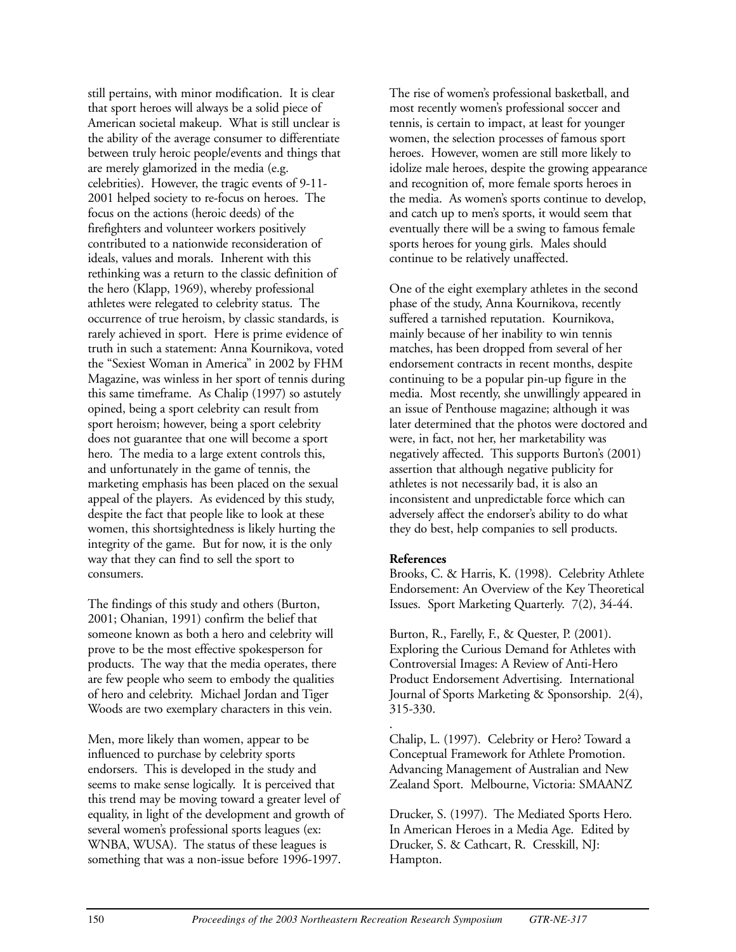still pertains, with minor modification. It is clear that sport heroes will always be a solid piece of American societal makeup. What is still unclear is the ability of the average consumer to differentiate between truly heroic people/events and things that are merely glamorized in the media (e.g. celebrities). However, the tragic events of 9-11- 2001 helped society to re-focus on heroes. The focus on the actions (heroic deeds) of the firefighters and volunteer workers positively contributed to a nationwide reconsideration of ideals, values and morals. Inherent with this rethinking was a return to the classic definition of the hero (Klapp, 1969), whereby professional athletes were relegated to celebrity status. The occurrence of true heroism, by classic standards, is rarely achieved in sport. Here is prime evidence of truth in such a statement: Anna Kournikova, voted the "Sexiest Woman in America" in 2002 by FHM Magazine, was winless in her sport of tennis during this same timeframe. As Chalip (1997) so astutely opined, being a sport celebrity can result from sport heroism; however, being a sport celebrity does not guarantee that one will become a sport hero. The media to a large extent controls this, and unfortunately in the game of tennis, the marketing emphasis has been placed on the sexual appeal of the players. As evidenced by this study, despite the fact that people like to look at these women, this shortsightedness is likely hurting the integrity of the game. But for now, it is the only way that they can find to sell the sport to consumers.

The findings of this study and others (Burton, 2001; Ohanian, 1991) confirm the belief that someone known as both a hero and celebrity will prove to be the most effective spokesperson for products. The way that the media operates, there are few people who seem to embody the qualities of hero and celebrity. Michael Jordan and Tiger Woods are two exemplary characters in this vein.

Men, more likely than women, appear to be influenced to purchase by celebrity sports endorsers. This is developed in the study and seems to make sense logically. It is perceived that this trend may be moving toward a greater level of equality, in light of the development and growth of several women's professional sports leagues (ex: WNBA, WUSA). The status of these leagues is something that was a non-issue before 1996-1997.

The rise of women's professional basketball, and most recently women's professional soccer and tennis, is certain to impact, at least for younger women, the selection processes of famous sport heroes. However, women are still more likely to idolize male heroes, despite the growing appearance and recognition of, more female sports heroes in the media. As women's sports continue to develop, and catch up to men's sports, it would seem that eventually there will be a swing to famous female sports heroes for young girls. Males should continue to be relatively unaffected.

One of the eight exemplary athletes in the second phase of the study, Anna Kournikova, recently suffered a tarnished reputation. Kournikova, mainly because of her inability to win tennis matches, has been dropped from several of her endorsement contracts in recent months, despite continuing to be a popular pin-up figure in the media. Most recently, she unwillingly appeared in an issue of Penthouse magazine; although it was later determined that the photos were doctored and were, in fact, not her, her marketability was negatively affected. This supports Burton's (2001) assertion that although negative publicity for athletes is not necessarily bad, it is also an inconsistent and unpredictable force which can adversely affect the endorser's ability to do what they do best, help companies to sell products.

#### **References**

Brooks, C. & Harris, K. (1998). Celebrity Athlete Endorsement: An Overview of the Key Theoretical Issues. Sport Marketing Quarterly. 7(2), 34-44.

Burton, R., Farelly, F., & Quester, P. (2001). Exploring the Curious Demand for Athletes with Controversial Images: A Review of Anti-Hero Product Endorsement Advertising. International Journal of Sports Marketing & Sponsorship. 2(4), 315-330.

. Chalip, L. (1997). Celebrity or Hero? Toward a Conceptual Framework for Athlete Promotion. Advancing Management of Australian and New Zealand Sport. Melbourne, Victoria: SMAANZ

Drucker, S. (1997). The Mediated Sports Hero. In American Heroes in a Media Age. Edited by Drucker, S. & Cathcart, R. Cresskill, NJ: Hampton.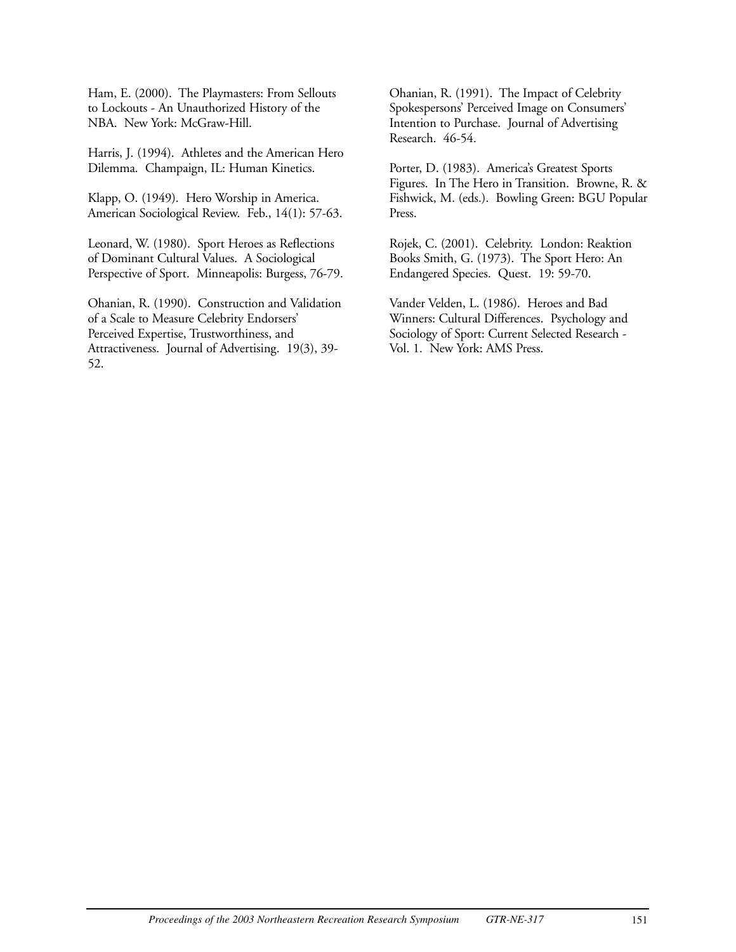Ham, E. (2000). The Playmasters: From Sellouts to Lockouts - An Unauthorized History of the NBA. New York: McGraw-Hill.

Harris, J. (1994). Athletes and the American Hero Dilemma. Champaign, IL: Human Kinetics.

Klapp, O. (1949). Hero Worship in America. American Sociological Review. Feb., 14(1): 57-63.

Leonard, W. (1980). Sport Heroes as Reflections of Dominant Cultural Values. A Sociological Perspective of Sport. Minneapolis: Burgess, 76-79.

Ohanian, R. (1990). Construction and Validation of a Scale to Measure Celebrity Endorsers' Perceived Expertise, Trustworthiness, and Attractiveness. Journal of Advertising. 19(3), 39- 52.

Ohanian, R. (1991). The Impact of Celebrity Spokespersons' Perceived Image on Consumers' Intention to Purchase. Journal of Advertising Research. 46-54.

Porter, D. (1983). America's Greatest Sports Figures. In The Hero in Transition. Browne, R. & Fishwick, M. (eds.). Bowling Green: BGU Popular Press.

Rojek, C. (2001). Celebrity. London: Reaktion Books Smith, G. (1973). The Sport Hero: An Endangered Species. Quest. 19: 59-70.

Vander Velden, L. (1986). Heroes and Bad Winners: Cultural Differences. Psychology and Sociology of Sport: Current Selected Research - Vol. 1. New York: AMS Press.